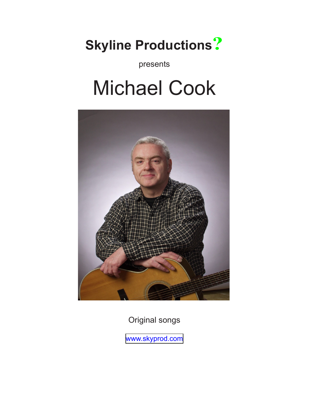# **Skyline Productions?**

presents

# Michael Cook



Original songs

[www.skyprod.com](http://www.skyprod.com)